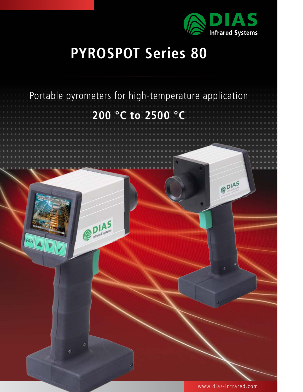

# **PYROSPOT Series 80**

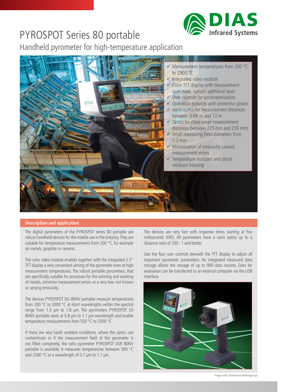

### PYROSPOT Series 80 portable

Handheld pyrometer for high-temperature application



#### **Description and application**

The digital pyrometers of the PYROSPOT series 80 portable are robust handheld devices for the mobile use in the industry. They are suitable for temperature measurements from 200 °C, for example on metals, graphite or ceramic.

The color video module enables together with the integrated 2.5" TFT display a very convenient aiming of the pyrometer even at high measurement temperatures. The robust portable pyrometers, that are specifically suitable for processes for the winning and working of metals, minimize measurement errors at a very low, not known or varying emissivity.

The devices PYROSPOT DG 80NV portable measure temperatures from 200 °C to 2000 °C at short wavelengths within the spectral range from 1.5 µm to 1.8 µm. The pyrometers PYROSPOT DS 80NV portable work at 0.8 µm to 1.1 µm wavelength and enable temperature measurements from 550 °C to 2500 °C.

If there are very harsh ambient conditions, where the optics can contaminate or if the measurement field of the pyrometer is not filled completely, the ratio pyrometer PYROSPOT DSR 80NV portable is available. It measures temperatures between 500 °C and 2500 °C at a wavelength of 0.7 µm to 1.1 µm.

The devices are very fast with response times starting at five milliseconds (t95). All pyrometers have a vario optics up to a distance ratio of 200 : 1 and better.

Use the four user controls beneath the TFT display to adjust all important pyrometer parameters. An integrated measured data storage allows the storage of up to 999 data records. Data for evaluation can be transferred to an external computer via the USB interface.



Image credit: Shutterstock.de/Bondgrunge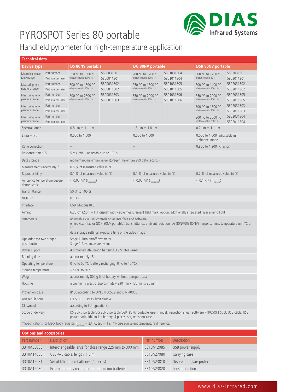

### PYROSPOT Series 80 portable

Handheld pyrometer for high-temperature application

| Technical data                                             |                                  |                                                                                                                                                                                                                                                                      |                          |                                               |                          |                                                 |                          |  |  |  |
|------------------------------------------------------------|----------------------------------|----------------------------------------------------------------------------------------------------------------------------------------------------------------------------------------------------------------------------------------------------------------------|--------------------------|-----------------------------------------------|--------------------------|-------------------------------------------------|--------------------------|--|--|--|
| Device type                                                |                                  | <b>DS 80NV portable</b>                                                                                                                                                                                                                                              |                          | DG 80NV portable                              |                          | <b>DSR 80NV portable</b>                        |                          |  |  |  |
| Measuring tempe-                                           | Part number                      | 550 °C to 1500 °C                                                                                                                                                                                                                                                    | 5800031301               | 200 °C to 1200 °C                             | 5801031304               | 500 °C to 1200 °C                               | 5802031301               |  |  |  |
| rature range                                               | Part number laser                | (distance ratio 200 : 1)                                                                                                                                                                                                                                             | 5800011301               | (distance ratio 200 : 1)                      | 5801011304               | (distance ratio 50 : 1)                         | 5802011301               |  |  |  |
| Measuring tem-                                             | Part number                      | 600 °C to 1800 °C                                                                                                                                                                                                                                                    | 5800031302               | 250 °C to 1500 °C                             | 5801031305               | 600 °C to 1400 °C                               | 5802031302               |  |  |  |
| perature range                                             | Part number laser                | (distance ratio 200 : 1)                                                                                                                                                                                                                                             | 5800011302               | (distance ratio 200 : 1)                      | 5801011305               | (distance ratio 100 : 1)                        | 5802011302               |  |  |  |
| Measuring tem-<br>perature range                           | Part number<br>Part number laser | 800 °C to 2500 °C<br>(distance ratio 200 : 1)                                                                                                                                                                                                                        | 5800031303<br>5800011303 | 350 °C to 2000 °C<br>(distance ratio 200 : 1) | 5801031306<br>5801011306 | 650 °C to 2000 °C<br>(distance ratio 200 : 1)   | 5802031305<br>5802011305 |  |  |  |
| Measuring tem-                                             | Part number                      |                                                                                                                                                                                                                                                                      |                          |                                               |                          | 700 °C to 1800 °C                               | 5802031303               |  |  |  |
| perature range                                             | Part number laser                |                                                                                                                                                                                                                                                                      |                          |                                               |                          | (distance ratio 200 : 1)                        | 5802011303               |  |  |  |
| Measuring tem-                                             | Part number                      |                                                                                                                                                                                                                                                                      |                          |                                               |                          | 800 °C to 2500 °C                               | 5802031304               |  |  |  |
| perature range                                             | Part number laser                |                                                                                                                                                                                                                                                                      |                          |                                               |                          | (distance ratio 200 : 1)                        | 5802011304               |  |  |  |
| Spectral range                                             |                                  | $0.8 \mu m$ to 1.1 $\mu m$                                                                                                                                                                                                                                           |                          | 1.5 $\mu$ m to 1.8 $\mu$ m                    |                          | $0.7 \mu m$ to 1.1 $\mu m$                      |                          |  |  |  |
| Emissivity $\varepsilon$                                   |                                  | 0.050 to 1.000                                                                                                                                                                                                                                                       |                          | 0.050 to 1.000                                |                          | 0.050 to 1.000, adjustable in<br>1 channel mode |                          |  |  |  |
| Ratio correction                                           |                                  |                                                                                                                                                                                                                                                                      |                          |                                               |                          | 0.800 to 1.200 (K factor)                       |                          |  |  |  |
| Response time t95                                          |                                  | 5 ms (min.), adjustable up to 100 s                                                                                                                                                                                                                                  |                          |                                               |                          |                                                 |                          |  |  |  |
| Data storage                                               |                                  | momentary/maximum value storager (maximum 999 data records)                                                                                                                                                                                                          |                          |                                               |                          |                                                 |                          |  |  |  |
| Measurement uncertainty <sup>1)</sup>                      |                                  | 0.5 % of measured value in °C                                                                                                                                                                                                                                        |                          |                                               |                          |                                                 |                          |  |  |  |
| Reproducibility <sup>1)</sup>                              |                                  | 0.1 % of measured value in $^{\circ}$ C                                                                                                                                                                                                                              |                          | 0.1 % of measured value in °C                 |                          | 0.2 % of measured value in °C                   |                          |  |  |  |
| Ambience temperature depen-<br>dence, static <sup>1)</sup> |                                  | $<$ 0.05 K/K ( $T_{\text{ambience}}$ )                                                                                                                                                                                                                               |                          | $<$ 0.05 K/K (T <sub>ambience</sub> )         |                          | $< 0.1$ K/K (T <sub>ambience</sub> )            |                          |  |  |  |
| Transmittance                                              |                                  | 50 % to 100 %                                                                                                                                                                                                                                                        |                          |                                               |                          |                                                 |                          |  |  |  |
| NETD <sup>1,2</sup>                                        |                                  | $0.1 K^{1}$                                                                                                                                                                                                                                                          |                          |                                               |                          |                                                 |                          |  |  |  |
| Interface                                                  |                                  | USB, Modbus RTU                                                                                                                                                                                                                                                      |                          |                                               |                          |                                                 |                          |  |  |  |
| Aiming                                                     |                                  | 6.35 cm (2.5") - TFT display with visible measurement field mark, option: additionally integrated laser aiming light                                                                                                                                                 |                          |                                               |                          |                                                 |                          |  |  |  |
| Parameters                                                 |                                  | adjustable via user controls or via interface and software:<br>emissivity, K factor (DSR 80NV portable), transmittance, ambient radiation (DS 80NV/DG 80NV), response time, temperature unit °C or<br>°F,<br>data storage settings, exposure time of the video image |                          |                                               |                          |                                                 |                          |  |  |  |
| Operation via two-staged<br>push-button                    |                                  | Stage 1: Turn on/off pyrometer<br>Stage 2: Save measured value                                                                                                                                                                                                       |                          |                                               |                          |                                                 |                          |  |  |  |
| Power supply                                               |                                  | 4 protected lithium-ion battery á 3.7 V, 2600 mAh                                                                                                                                                                                                                    |                          |                                               |                          |                                                 |                          |  |  |  |
| Running time                                               |                                  | approximately 15 h                                                                                                                                                                                                                                                   |                          |                                               |                          |                                                 |                          |  |  |  |
| Operating temperature                                      |                                  | 0 °C to 50 °C (battery recharging: 0 °C to 40 °C)                                                                                                                                                                                                                    |                          |                                               |                          |                                                 |                          |  |  |  |
| Storage temperature                                        |                                  | $-20$ °C to 60 °C                                                                                                                                                                                                                                                    |                          |                                               |                          |                                                 |                          |  |  |  |
| Weight                                                     |                                  | approximately 800 g (incl. battery, without transport case)                                                                                                                                                                                                          |                          |                                               |                          |                                                 |                          |  |  |  |
| Housing                                                    |                                  | aluminium / plastic (approximately 230 mm x 135 mm x 85 mm)                                                                                                                                                                                                          |                          |                                               |                          |                                                 |                          |  |  |  |
| Protection class                                           |                                  | IP 50 according to DIN EN 60529 and DIN 40050                                                                                                                                                                                                                        |                          |                                               |                          |                                                 |                          |  |  |  |
| Test regulations                                           |                                  | EN 55 011: 1998, limit class A                                                                                                                                                                                                                                       |                          |                                               |                          |                                                 |                          |  |  |  |
| CE symbol                                                  |                                  | according to EU regulations                                                                                                                                                                                                                                          |                          |                                               |                          |                                                 |                          |  |  |  |
| Scope of delivery                                          |                                  | DS 80NV portable/DG 80NV portable/DSR 80NV portable, user manual, inspection sheet, software PYROSOFT Spot, USB cable, USB<br>power pack, lithium-ion battery (4 pieces) set, transport case                                                                         |                          |                                               |                          |                                                 |                          |  |  |  |

<sup>1)</sup> Specifications for black body radiator,  $T_{\text{ambience}} = 23 \text{ °C}$ , t95 = 1 s. <sup>2)</sup> Noise equivalent temperature difference.

| <b>Options and accessories</b> |                                                        |             |                             |
|--------------------------------|--------------------------------------------------------|-------------|-----------------------------|
| Part number                    | <b>Description</b>                                     | Part number | <b>Description</b>          |
| 3310A33085                     | Interchangeable lense for close range 225 mm to 300 mm | 3310A12085  | USB power supply            |
| 3310A14088                     | USB-A-B cable, length: 1.8 m                           | 3310A27080  | Carrying case               |
| 3310A12081                     | Set of lithium ion batteries (4 pieces)                | 3310A23810  | Device and glare protection |
| 3310A12080                     | External battery recharger for lithium ion batteries   | 3310A23820  | Lens protection             |